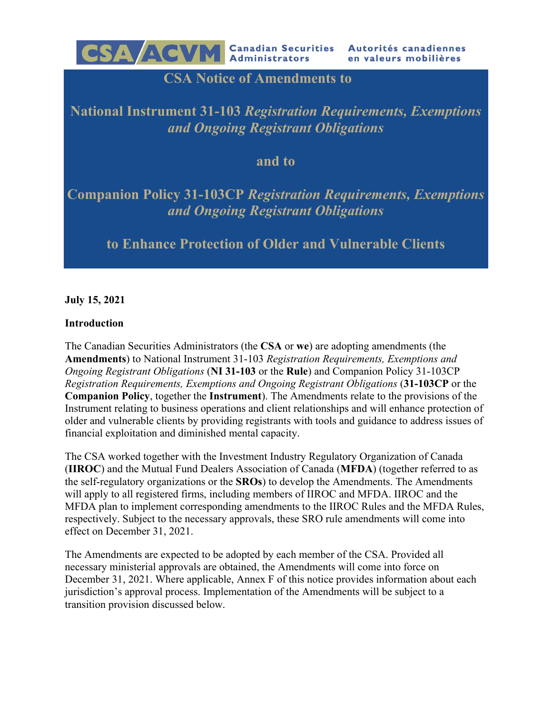

## **CSA Notice of Amendments to**

## **National Instrument 31-103** *Registration Requirements, Exemptions and Ongoing Registrant Obligations*

## **and to**

# **Companion Policy 31-103CP** *Registration Requirements, Exemptions and Ongoing Registrant Obligations*

## **to Enhance Protection of Older and Vulnerable Clients**

**July 15, 2021**

## **Introduction**

The Canadian Securities Administrators (the **CSA** or **we**) are adopting amendments (the **Amendments**) to National Instrument 31-103 *Registration Requirements, Exemptions and Ongoing Registrant Obligations* (**NI 31-103** or the **Rule**) and Companion Policy 31-103CP *Registration Requirements, Exemptions and Ongoing Registrant Obligations* (**31-103CP** or the **Companion Policy**, together the **Instrument**). The Amendments relate to the provisions of the Instrument relating to business operations and client relationships and will enhance protection of older and vulnerable clients by providing registrants with tools and guidance to address issues of financial exploitation and diminished mental capacity.

The CSA worked together with the Investment Industry Regulatory Organization of Canada (**IIROC**) and the Mutual Fund Dealers Association of Canada (**MFDA**) (together referred to as the self-regulatory organizations or the **SROs**) to develop the Amendments. The Amendments will apply to all registered firms, including members of IIROC and MFDA. IIROC and the MFDA plan to implement corresponding amendments to the IIROC Rules and the MFDA Rules, respectively. Subject to the necessary approvals, these SRO rule amendments will come into effect on December 31, 2021.

The Amendments are expected to be adopted by each member of the CSA. Provided all necessary ministerial approvals are obtained, the Amendments will come into force on December 31, 2021. Where applicable, Annex F of this notice provides information about each jurisdiction's approval process. Implementation of the Amendments will be subject to a transition provision discussed below.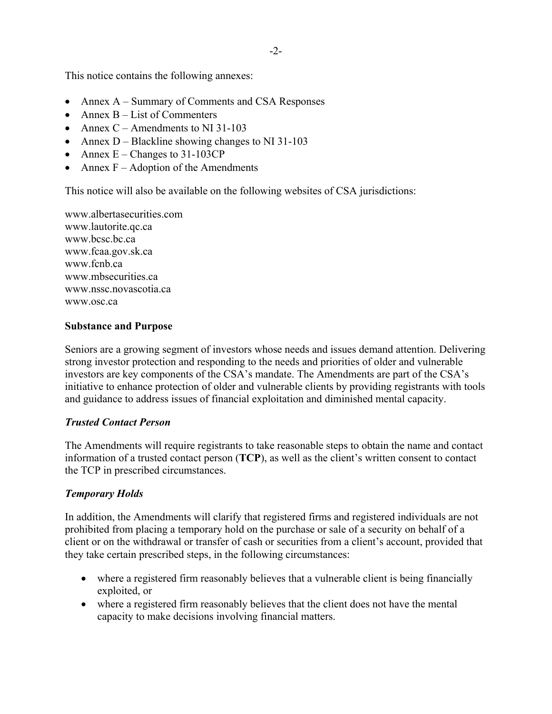This notice contains the following annexes:

- Annex A Summary of Comments and CSA Responses
- Annex  $B List$  of Commenters
- Annex  $C -$  Amendments to NI 31-103
- Annex  $D Black$  line showing changes to NI 31-103
- Annex  $E -$ Changes to 31-103CP
- Annex  $F -$  Adoption of the Amendments

This notice will also be available on the following websites of CSA jurisdictions:

www.albertasecurities.com www.lautorite.qc.ca www.bcsc.bc.ca www.fcaa.gov.sk.ca www.fcnb.ca www.mbsecurities.ca www.nssc.novascotia.ca www.osc.ca

#### **Substance and Purpose**

Seniors are a growing segment of investors whose needs and issues demand attention. Delivering strong investor protection and responding to the needs and priorities of older and vulnerable investors are key components of the CSA's mandate. The Amendments are part of the CSA's initiative to enhance protection of older and vulnerable clients by providing registrants with tools and guidance to address issues of financial exploitation and diminished mental capacity.

#### *Trusted Contact Person*

The Amendments will require registrants to take reasonable steps to obtain the name and contact information of a trusted contact person (**TCP**), as well as the client's written consent to contact the TCP in prescribed circumstances.

#### *Temporary Holds*

In addition, the Amendments will clarify that registered firms and registered individuals are not prohibited from placing a temporary hold on the purchase or sale of a security on behalf of a client or on the withdrawal or transfer of cash or securities from a client's account, provided that they take certain prescribed steps, in the following circumstances:

- where a registered firm reasonably believes that a vulnerable client is being financially exploited, or
- where a registered firm reasonably believes that the client does not have the mental capacity to make decisions involving financial matters.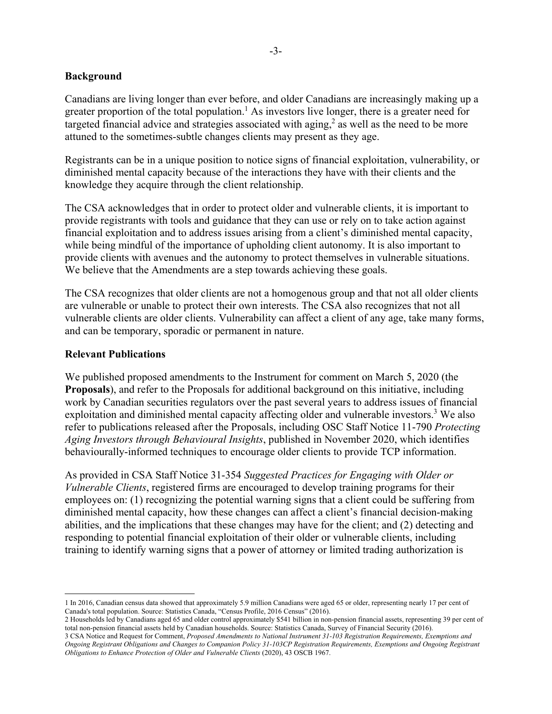#### **Background**

Canadians are living longer than ever before, and older Canadians are increasingly making up a greater proportion of the total population.<sup>1</sup> As investors live longer, there is a greater need for targeted financial advice and strategies associated with aging,<sup>2</sup> as well as the need to be more attuned to the sometimes-subtle changes clients may present as they age.

Registrants can be in a unique position to notice signs of financial exploitation, vulnerability, or diminished mental capacity because of the interactions they have with their clients and the knowledge they acquire through the client relationship.

The CSA acknowledges that in order to protect older and vulnerable clients, it is important to provide registrants with tools and guidance that they can use or rely on to take action against financial exploitation and to address issues arising from a client's diminished mental capacity, while being mindful of the importance of upholding client autonomy. It is also important to provide clients with avenues and the autonomy to protect themselves in vulnerable situations. We believe that the Amendments are a step towards achieving these goals.

The CSA recognizes that older clients are not a homogenous group and that not all older clients are vulnerable or unable to protect their own interests. The CSA also recognizes that not all vulnerable clients are older clients. Vulnerability can affect a client of any age, take many forms, and can be temporary, sporadic or permanent in nature.

#### **Relevant Publications**

1

We published proposed amendments to the Instrument for comment on March 5, 2020 (the **Proposals**), and refer to the Proposals for additional background on this initiative, including work by Canadian securities regulators over the past several years to address issues of financial exploitation and diminished mental capacity affecting older and vulnerable investors.<sup>3</sup> We also refer to publications released after the Proposals, including OSC Staff Notice 11-790 *Protecting Aging Investors through Behavioural Insights*, published in November 2020, which identifies behaviourally-informed techniques to encourage older clients to provide TCP information.

As provided in CSA Staff Notice 31-354 *Suggested Practices for Engaging with Older or Vulnerable Clients*, registered firms are encouraged to develop training programs for their employees on: (1) recognizing the potential warning signs that a client could be suffering from diminished mental capacity, how these changes can affect a client's financial decision-making abilities, and the implications that these changes may have for the client; and (2) detecting and responding to potential financial exploitation of their older or vulnerable clients, including training to identify warning signs that a power of attorney or limited trading authorization is

<sup>1</sup> In 2016, Canadian census data showed that approximately 5.9 million Canadians were aged 65 or older, representing nearly 17 per cent of Canada's total population. Source: Statistics Canada, "Census Profile, 2016 Census" (2016).

<sup>2</sup> Households led by Canadians aged 65 and older control approximately \$541 billion in non-pension financial assets, representing 39 per cent of total non-pension financial assets held by Canadian households. Source: Statistics Canada, Survey of Financial Security (2016).

<sup>3</sup> CSA Notice and Request for Comment, *Proposed Amendments to National Instrument 31-103 Registration Requirements, Exemptions and Ongoing Registrant Obligations and Changes to Companion Policy 31-103CP Registration Requirements, Exemptions and Ongoing Registrant Obligations to Enhance Protection of Older and Vulnerable Clients* (2020), 43 OSCB 1967.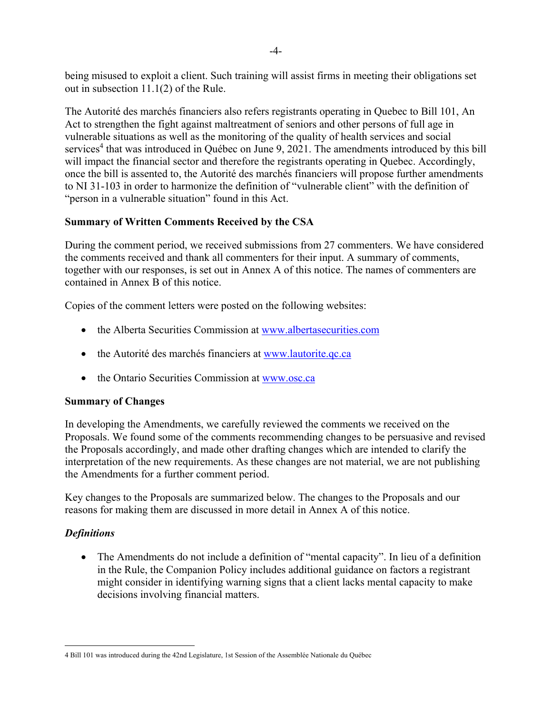being misused to exploit a client. Such training will assist firms in meeting their obligations set out in subsection 11.1(2) of the Rule.

The Autorité des marchés financiers also refers registrants operating in Quebec to Bill 101, An Act to strengthen the fight against maltreatment of seniors and other persons of full age in vulnerable situations as well as the monitoring of the quality of health services and social services<sup>4</sup> that was introduced in Québec on June 9, 2021. The amendments introduced by this bill will impact the financial sector and therefore the registrants operating in Quebec. Accordingly, once the bill is assented to, the Autorité des marchés financiers will propose further amendments to NI 31-103 in order to harmonize the definition of "vulnerable client" with the definition of "person in a vulnerable situation" found in this Act.

## **Summary of Written Comments Received by the CSA**

During the comment period, we received submissions from 27 commenters. We have considered the comments received and thank all commenters for their input. A summary of comments, together with our responses, is set out in Annex A of this notice. The names of commenters are contained in Annex B of this notice.

Copies of the comment letters were posted on the following websites:

- the Alberta Securities Commission at www.albertasecurities.com
- the Autorité des marchés financiers at www.lautorite.qc.ca
- the Ontario Securities Commission at www.osc.ca

## **Summary of Changes**

In developing the Amendments, we carefully reviewed the comments we received on the Proposals. We found some of the comments recommending changes to be persuasive and revised the Proposals accordingly, and made other drafting changes which are intended to clarify the interpretation of the new requirements. As these changes are not material, we are not publishing the Amendments for a further comment period.

Key changes to the Proposals are summarized below. The changes to the Proposals and our reasons for making them are discussed in more detail in Annex A of this notice.

## *Definitions*

 The Amendments do not include a definition of "mental capacity". In lieu of a definition in the Rule, the Companion Policy includes additional guidance on factors a registrant might consider in identifying warning signs that a client lacks mental capacity to make decisions involving financial matters.

 $\overline{a}$ 4 Bill 101 was introduced during the 42nd Legislature, 1st Session of the Assemblée Nationale du Québec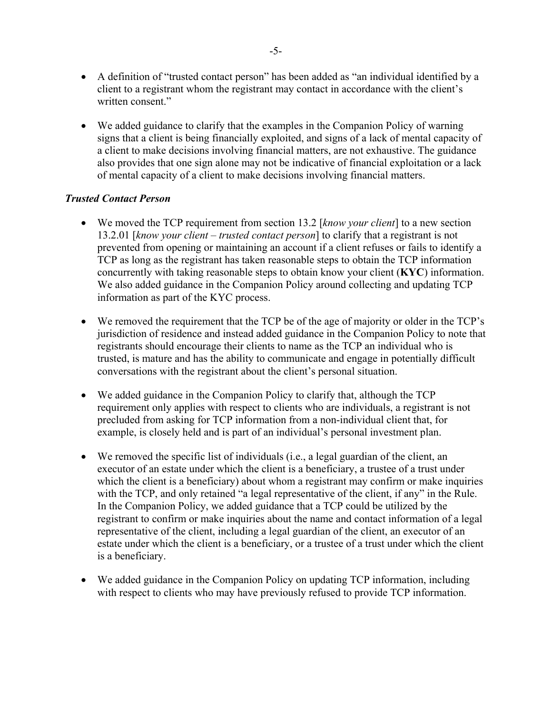- A definition of "trusted contact person" has been added as "an individual identified by a client to a registrant whom the registrant may contact in accordance with the client's written consent."
- We added guidance to clarify that the examples in the Companion Policy of warning signs that a client is being financially exploited, and signs of a lack of mental capacity of a client to make decisions involving financial matters, are not exhaustive. The guidance also provides that one sign alone may not be indicative of financial exploitation or a lack of mental capacity of a client to make decisions involving financial matters.

#### *Trusted Contact Person*

- We moved the TCP requirement from section 13.2 [*know your client*] to a new section 13.2.01 [*know your client – trusted contact person*] to clarify that a registrant is not prevented from opening or maintaining an account if a client refuses or fails to identify a TCP as long as the registrant has taken reasonable steps to obtain the TCP information concurrently with taking reasonable steps to obtain know your client (**KYC**) information. We also added guidance in the Companion Policy around collecting and updating TCP information as part of the KYC process.
- We removed the requirement that the TCP be of the age of majority or older in the TCP's jurisdiction of residence and instead added guidance in the Companion Policy to note that registrants should encourage their clients to name as the TCP an individual who is trusted, is mature and has the ability to communicate and engage in potentially difficult conversations with the registrant about the client's personal situation.
- We added guidance in the Companion Policy to clarify that, although the TCP requirement only applies with respect to clients who are individuals, a registrant is not precluded from asking for TCP information from a non-individual client that, for example, is closely held and is part of an individual's personal investment plan.
- We removed the specific list of individuals (i.e., a legal guardian of the client, an executor of an estate under which the client is a beneficiary, a trustee of a trust under which the client is a beneficiary) about whom a registrant may confirm or make inquiries with the TCP, and only retained "a legal representative of the client, if any" in the Rule. In the Companion Policy, we added guidance that a TCP could be utilized by the registrant to confirm or make inquiries about the name and contact information of a legal representative of the client, including a legal guardian of the client, an executor of an estate under which the client is a beneficiary, or a trustee of a trust under which the client is a beneficiary.
- We added guidance in the Companion Policy on updating TCP information, including with respect to clients who may have previously refused to provide TCP information.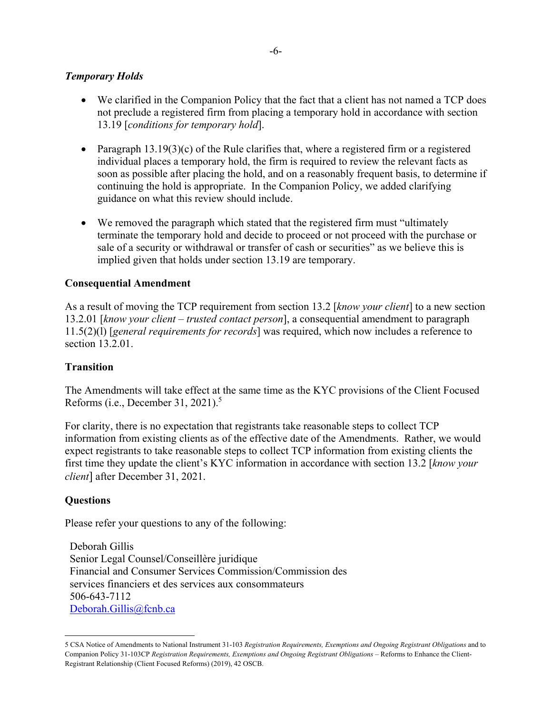## *Temporary Holds*

- We clarified in the Companion Policy that the fact that a client has not named a TCP does not preclude a registered firm from placing a temporary hold in accordance with section 13.19 [*conditions for temporary hold*].
- Paragraph  $13.19(3)(c)$  of the Rule clarifies that, where a registered firm or a registered individual places a temporary hold, the firm is required to review the relevant facts as soon as possible after placing the hold, and on a reasonably frequent basis, to determine if continuing the hold is appropriate. In the Companion Policy, we added clarifying guidance on what this review should include.
- We removed the paragraph which stated that the registered firm must "ultimately terminate the temporary hold and decide to proceed or not proceed with the purchase or sale of a security or withdrawal or transfer of cash or securities" as we believe this is implied given that holds under section 13.19 are temporary.

#### **Consequential Amendment**

As a result of moving the TCP requirement from section 13.2 [*know your client*] to a new section 13.2.01 [*know your client – trusted contact person*], a consequential amendment to paragraph 11.5(2)(l) [*general requirements for records*] was required, which now includes a reference to section 13.2.01.

#### **Transition**

The Amendments will take effect at the same time as the KYC provisions of the Client Focused Reforms (i.e., December 31, 2021).<sup>5</sup>

For clarity, there is no expectation that registrants take reasonable steps to collect TCP information from existing clients as of the effective date of the Amendments. Rather, we would expect registrants to take reasonable steps to collect TCP information from existing clients the first time they update the client's KYC information in accordance with section 13.2 [*know your client*] after December 31, 2021.

#### **Questions**

 $\overline{a}$ 

Please refer your questions to any of the following:

Deborah Gillis Senior Legal Counsel/Conseillère juridique Financial and Consumer Services Commission/Commission des services financiers et des services aux consommateurs 506-643-7112 Deborah.Gillis@fcnb.ca

<sup>5</sup> CSA Notice of Amendments to National Instrument 31-103 *Registration Requirements, Exemptions and Ongoing Registrant Obligations* and to Companion Policy 31-103CP *Registration Requirements, Exemptions and Ongoing Registrant Obligations* – Reforms to Enhance the Client-Registrant Relationship (Client Focused Reforms) (2019), 42 OSCB.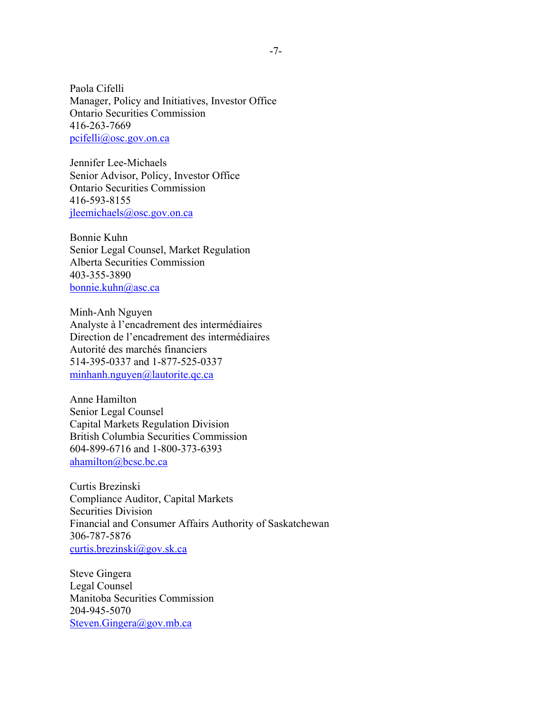Paola Cifelli Manager, Policy and Initiatives, Investor Office Ontario Securities Commission 416-263-7669 pcifelli@osc.gov.on.ca

Jennifer Lee-Michaels Senior Advisor, Policy, Investor Office Ontario Securities Commission 416-593-8155 jleemichaels@osc.gov.on.ca

Bonnie Kuhn Senior Legal Counsel, Market Regulation Alberta Securities Commission 403-355-3890 bonnie.kuhn@asc.ca

Minh-Anh Nguyen Analyste à l'encadrement des intermédiaires Direction de l'encadrement des intermédiaires Autorité des marchés financiers 514-395-0337 and 1-877-525-0337 minhanh.nguyen@lautorite.qc.ca

Anne Hamilton Senior Legal Counsel Capital Markets Regulation Division British Columbia Securities Commission 604-899-6716 and 1-800-373-6393 ahamilton@bcsc.bc.ca

Curtis Brezinski Compliance Auditor, Capital Markets Securities Division Financial and Consumer Affairs Authority of Saskatchewan 306-787-5876 curtis.brezinski@gov.sk.ca

Steve Gingera Legal Counsel Manitoba Securities Commission 204-945-5070 Steven.Gingera@gov.mb.ca